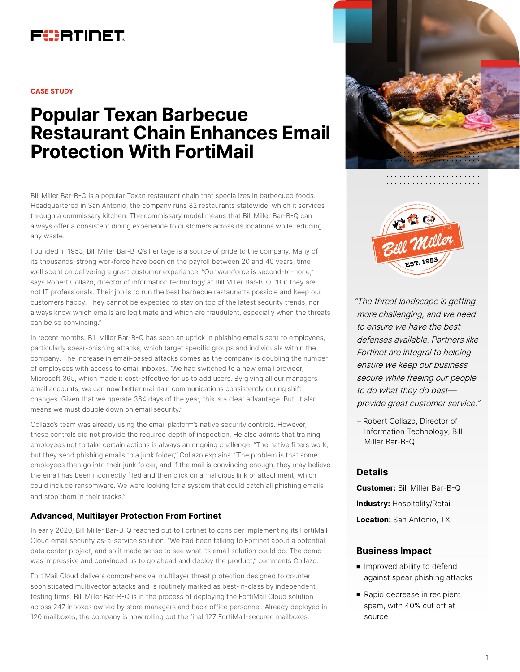

#### **CASE STUDY**

# **Popular Texan Barbecue Restaurant Chain Enhances Email Protection With FortiMail**

Bill Miller Bar-B-Q is a popular Texan restaurant chain that specializes in barbecued foods. Headquartered in San Antonio, the company runs 82 restaurants statewide, which it services through a commissary kitchen. The commissary model means that Bill Miller Bar-B-Q can always offer a consistent dining experience to customers across its locations while reducing any waste.

Founded in 1953, Bill Miller Bar-B-Q's heritage is a source of pride to the company. Many of its thousands-strong workforce have been on the payroll between 20 and 40 years, time well spent on delivering a great customer experience. "Our workforce is second-to-none," says Robert Collazo, director of information technology at Bill Miller Bar-B-Q. "But they are not IT professionals. Their job is to run the best barbecue restaurants possible and keep our customers happy. They cannot be expected to stay on top of the latest security trends, nor always know which emails are legitimate and which are fraudulent, especially when the threats can be so convincing."

In recent months, Bill Miller Bar-B-Q has seen an uptick in phishing emails sent to employees, particularly spear-phishing attacks, which target specific groups and individuals within the company. The increase in email-based attacks comes as the company is doubling the number of employees with access to email inboxes. "We had switched to a new email provider, Microsoft 365, which made it cost-effective for us to add users. By giving all our managers email accounts, we can now better maintain communications consistently during shift changes. Given that we operate 364 days of the year, this is a clear advantage. But, it also means we must double down on email security."

Collazo's team was already using the email platform's native security controls. However, these controls did not provide the required depth of inspection. He also admits that training employees not to take certain actions is always an ongoing challenge. "The native filters work, but they send phishing emails to a junk folder," Collazo explains. "The problem is that some employees then go into their junk folder, and if the mail is convincing enough, they may believe the email has been incorrectly filed and then click on a malicious link or attachment, which could include ransomware. We were looking for a system that could catch all phishing emails and stop them in their tracks."

#### **Advanced, Multilayer Protection From Fortinet**

In early 2020, Bill Miller Bar-B-Q reached out to Fortinet to consider implementing its FortiMail Cloud email security as-a-service solution. "We had been talking to Fortinet about a potential data center project, and so it made sense to see what its email solution could do. The demo was impressive and convinced us to go ahead and deploy the product," comments Collazo.

FortiMail Cloud delivers comprehensive, multilayer threat protection designed to counter sophisticated multivector attacks and is routinely marked as best-in-class by independent testing firms. Bill Miller Bar-B-Q is in the process of deploying the FortiMail Cloud solution across 247 inboxes owned by store managers and back-office personnel. Already deployed in 120 mailboxes, the company is now rolling out the final 127 FortiMail-secured mailboxes.





"The threat landscape is getting more challenging, and we need to ensure we have the best defenses available. Partners like Fortinet are integral to helping ensure we keep our business secure while freeing our people to do what they do best provide great customer service."

– Robert Collazo, Director of Information Technology, Bill Miller Bar-B-Q

## **Details**

**Customer:** Bill Miller Bar-B-Q

**Industry:** Hospitality/Retail

**Location:** San Antonio, TX

## **Business Impact**

- **n** Improved ability to defend against spear phishing attacks
- Rapid decrease in recipient spam, with 40% cut off at source